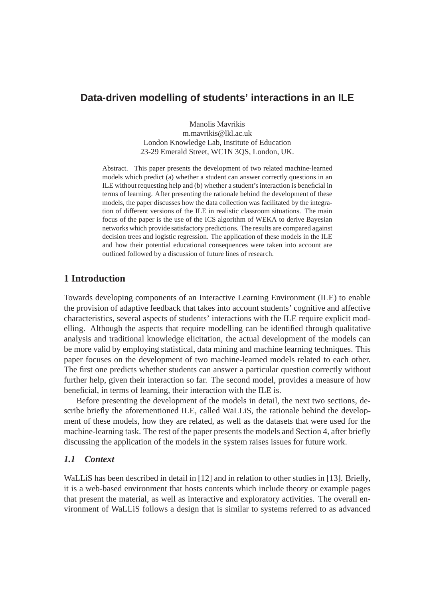# **Data-driven modelling of students' interactions in an ILE**

Manolis Mavrikis m.mavrikis@lkl.ac.uk London Knowledge Lab, Institute of Education 23-29 Emerald Street, WC1N 3QS, London, UK.

Abstract. This paper presents the development of two related machine-learned models which predict (a) whether a student can answer correctly questions in an ILE without requesting help and (b) whether a student's interaction is beneficial in terms of learning. After presenting the rationale behind the development of these models, the paper discusses how the data collection was facilitated by the integration of different versions of the ILE in realistic classroom situations. The main focus of the paper is the use of the ICS algorithm of WEKA to derive Bayesian networks which provide satisfactory predictions. The results are compared against decision trees and logistic regression. The application of these models in the ILE and how their potential educational consequences were taken into account are outlined followed by a discussion of future lines of research.

# **1 Introduction**

Towards developing components of an Interactive Learning Environment (ILE) to enable the provision of adaptive feedback that takes into account students' cognitive and affective characteristics, several aspects of students' interactions with the ILE require explicit modelling. Although the aspects that require modelling can be identified through qualitative analysis and traditional knowledge elicitation, the actual development of the models can be more valid by employing statistical, data mining and machine learning techniques. This paper focuses on the development of two machine-learned models related to each other. The first one predicts whether students can answer a particular question correctly without further help, given their interaction so far. The second model, provides a measure of how beneficial, in terms of learning, their interaction with the ILE is.

Before presenting the development of the models in detail, the next two sections, describe briefly the aforementioned ILE, called WaLLiS, the rationale behind the development of these models, how they are related, as well as the datasets that were used for the machine-learning task. The rest of the paper presents the models and Section 4, after briefly discussing the application of the models in the system raises issues for future work.

#### *1.1 Context*

WaLLiS has been described in detail in [12] and in relation to other studies in [13]. Briefly, it is a web-based environment that hosts contents which include theory or example pages that present the material, as well as interactive and exploratory activities. The overall environment of WaLLiS follows a design that is similar to systems referred to as advanced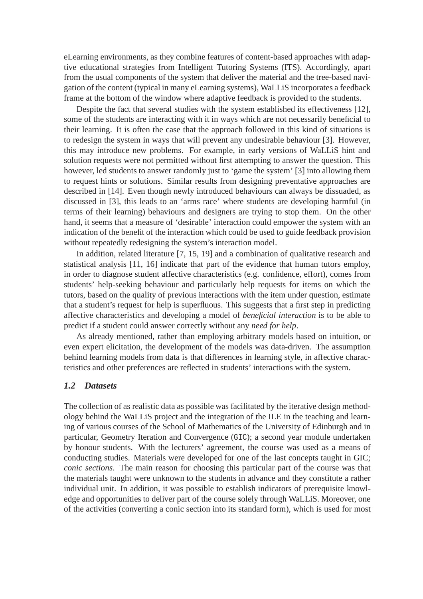eLearning environments, as they combine features of content-based approaches with adaptive educational strategies from Intelligent Tutoring Systems (ITS). Accordingly, apart from the usual components of the system that deliver the material and the tree-based navigation of the content (typical in many eLearning systems), WaLLiS incorporates a feedback frame at the bottom of the window where adaptive feedback is provided to the students.

Despite the fact that several studies with the system established its effectiveness [12], some of the students are interacting with it in ways which are not necessarily beneficial to their learning. It is often the case that the approach followed in this kind of situations is to redesign the system in ways that will prevent any undesirable behaviour [3]. However, this may introduce new problems. For example, in early versions of WaLLiS hint and solution requests were not permitted without first attempting to answer the question. This however, led students to answer randomly just to 'game the system' [3] into allowing them to request hints or solutions. Similar results from designing preventative approaches are described in [14]. Even though newly introduced behaviours can always be dissuaded, as discussed in [3], this leads to an 'arms race' where students are developing harmful (in terms of their learning) behaviours and designers are trying to stop them. On the other hand, it seems that a measure of 'desirable' interaction could empower the system with an indication of the benefit of the interaction which could be used to guide feedback provision without repeatedly redesigning the system's interaction model.

In addition, related literature [7, 15, 19] and a combination of qualitative research and statistical analysis [11, 16] indicate that part of the evidence that human tutors employ, in order to diagnose student affective characteristics (e.g. confidence, effort), comes from students' help-seeking behaviour and particularly help requests for items on which the tutors, based on the quality of previous interactions with the item under question, estimate that a student's request for help is superfluous. This suggests that a first step in predicting affective characteristics and developing a model of *beneficial interaction* is to be able to predict if a student could answer correctly without any *need for help*.

As already mentioned, rather than employing arbitrary models based on intuition, or even expert elicitation, the development of the models was data-driven. The assumption behind learning models from data is that differences in learning style, in affective characteristics and other preferences are reflected in students' interactions with the system.

#### *1.2 Datasets*

The collection of as realistic data as possible was facilitated by the iterative design methodology behind the WaLLiS project and the integration of the ILE in the teaching and learning of various courses of the School of Mathematics of the University of Edinburgh and in particular, Geometry Iteration and Convergence (GIC); a second year module undertaken by honour students. With the lecturers' agreement, the course was used as a means of conducting studies. Materials were developed for one of the last concepts taught in GIC; *conic sections*. The main reason for choosing this particular part of the course was that the materials taught were unknown to the students in advance and they constitute a rather individual unit. In addition, it was possible to establish indicators of prerequisite knowledge and opportunities to deliver part of the course solely through WaLLiS. Moreover, one of the activities (converting a conic section into its standard form), which is used for most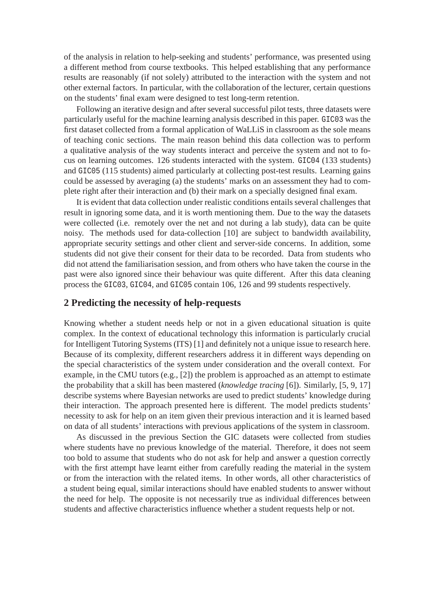of the analysis in relation to help-seeking and students' performance, was presented using a different method from course textbooks. This helped establishing that any performance results are reasonably (if not solely) attributed to the interaction with the system and not other external factors. In particular, with the collaboration of the lecturer, certain questions on the students' final exam were designed to test long-term retention.

Following an iterative design and after several successful pilot tests, three datasets were particularly useful for the machine learning analysis described in this paper. GIC03 was the first dataset collected from a formal application of WaLLiS in classroom as the sole means of teaching conic sections. The main reason behind this data collection was to perform a qualitative analysis of the way students interact and perceive the system and not to focus on learning outcomes. 126 students interacted with the system. GIC04 (133 students) and GIC05 (115 students) aimed particularly at collecting post-test results. Learning gains could be assessed by averaging (a) the students' marks on an assessment they had to complete right after their interaction and (b) their mark on a specially designed final exam.

It is evident that data collection under realistic conditions entails several challenges that result in ignoring some data, and it is worth mentioning them. Due to the way the datasets were collected (i.e. remotely over the net and not during a lab study), data can be quite noisy. The methods used for data-collection [10] are subject to bandwidth availability, appropriate security settings and other client and server-side concerns. In addition, some students did not give their consent for their data to be recorded. Data from students who did not attend the familiarisation session, and from others who have taken the course in the past were also ignored since their behaviour was quite different. After this data cleaning process the GIC03, GIC04, and GIC05 contain 106, 126 and 99 students respectively.

## **2 Predicting the necessity of help-requests**

Knowing whether a student needs help or not in a given educational situation is quite complex. In the context of educational technology this information is particularly crucial for Intelligent Tutoring Systems (ITS) [1] and definitely not a unique issue to research here. Because of its complexity, different researchers address it in different ways depending on the special characteristics of the system under consideration and the overall context. For example, in the CMU tutors (e.g., [2]) the problem is approached as an attempt to estimate the probability that a skill has been mastered (*knowledge tracing* [6]). Similarly, [5, 9, 17] describe systems where Bayesian networks are used to predict students' knowledge during their interaction. The approach presented here is different. The model predicts students' necessity to ask for help on an item given their previous interaction and it is learned based on data of all students' interactions with previous applications of the system in classroom.

As discussed in the previous Section the GIC datasets were collected from studies where students have no previous knowledge of the material. Therefore, it does not seem too bold to assume that students who do not ask for help and answer a question correctly with the first attempt have learnt either from carefully reading the material in the system or from the interaction with the related items. In other words, all other characteristics of a student being equal, similar interactions should have enabled students to answer without the need for help. The opposite is not necessarily true as individual differences between students and affective characteristics influence whether a student requests help or not.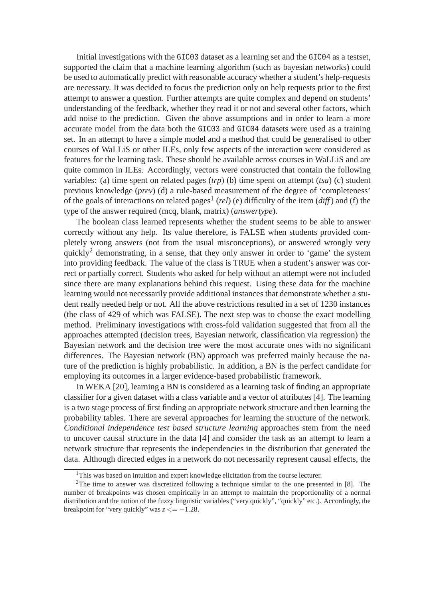Initial investigations with the GIC03 dataset as a learning set and the GIC04 as a testset, supported the claim that a machine learning algorithm (such as bayesian networks) could be used to automatically predict with reasonable accuracy whether a student's help-requests are necessary. It was decided to focus the prediction only on help requests prior to the first attempt to answer a question. Further attempts are quite complex and depend on students' understanding of the feedback, whether they read it or not and several other factors, which add noise to the prediction. Given the above assumptions and in order to learn a more accurate model from the data both the GIC03 and GIC04 datasets were used as a training set. In an attempt to have a simple model and a method that could be generalised to other courses of WaLLiS or other ILEs, only few aspects of the interaction were considered as features for the learning task. These should be available across courses in WaLLiS and are quite common in ILEs. Accordingly, vectors were constructed that contain the following variables: (a) time spent on related pages (*trp*) (b) time spent on attempt (*tsa*) (c) student previous knowledge (*prev*) (d) a rule-based measurement of the degree of 'completeness' of the goals of interactions on related pages<sup>1</sup> (*rel*) (e) difficulty of the item (*diff*) and (f) the type of the answer required (mcq, blank, matrix) (*answertype*).

The boolean class learned represents whether the student seems to be able to answer correctly without any help. Its value therefore, is FALSE when students provided completely wrong answers (not from the usual misconceptions), or answered wrongly very quickly<sup>2</sup> demonstrating, in a sense, that they only answer in order to 'game' the system into providing feedback. The value of the class is TRUE when a student's answer was correct or partially correct. Students who asked for help without an attempt were not included since there are many explanations behind this request. Using these data for the machine learning would not necessarily provide additional instances that demonstrate whether a student really needed help or not. All the above restrictions resulted in a set of 1230 instances (the class of 429 of which was FALSE). The next step was to choose the exact modelling method. Preliminary investigations with cross-fold validation suggested that from all the approaches attempted (decision trees, Bayesian network, classification via regression) the Bayesian network and the decision tree were the most accurate ones with no significant differences. The Bayesian network (BN) approach was preferred mainly because the nature of the prediction is highly probabilistic. In addition, a BN is the perfect candidate for employing its outcomes in a larger evidence-based probabilistic framework.

In WEKA [20], learning a BN is considered as a learning task of finding an appropriate classifier for a given dataset with a class variable and a vector of attributes [4]. The learning is a two stage process of first finding an appropriate network structure and then learning the probability tables. There are several approaches for learning the structure of the network. *Conditional independence test based structure learning* approaches stem from the need to uncover causal structure in the data [4] and consider the task as an attempt to learn a network structure that represents the independencies in the distribution that generated the data. Although directed edges in a network do not necessarily represent causal effects, the

<sup>&</sup>lt;sup>1</sup>This was based on intuition and expert knowledge elicitation from the course lecturer.

<sup>&</sup>lt;sup>2</sup>The time to answer was discretized following a technique similar to the one presented in [8]. The number of breakpoints was chosen empirically in an attempt to maintain the proportionality of a normal distribution and the notion of the fuzzy linguistic variables ("very quickly", "quickly" etc.). Accordingly, the breakpoint for "very quickly" was  $z \le -1.28$ .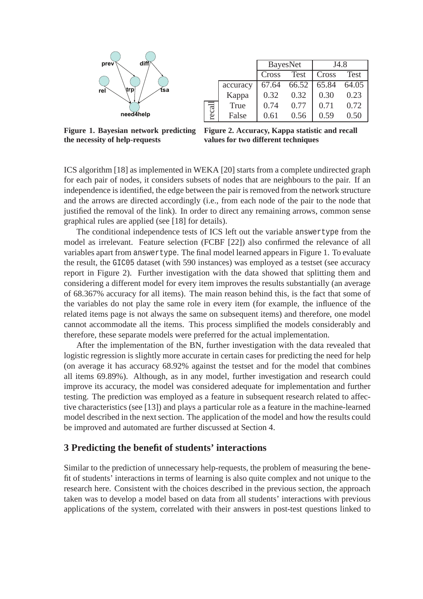

|      |          | <b>BayesNet</b> |             | J4.8  |       |  |  |
|------|----------|-----------------|-------------|-------|-------|--|--|
|      |          | Cross           | <b>Test</b> | Cross | Test  |  |  |
| ecal | accuracy | 67.64           | 66.52       | 65.84 | 64.05 |  |  |
|      | Kappa    | 0.32            | 0.32        | 0.30  | 0.23  |  |  |
|      | True     | 0.74            | 0.77        | 0.71  | 0.72  |  |  |
|      | False    | 0.61            | 0.56        | 0.59  | 0.50  |  |  |

**Figure 1. Bayesian network predicting the necessity of help-requests**

**Figure 2. Accuracy, Kappa statistic and recall values for two different techniques**

ICS algorithm [18] as implemented in WEKA [20] starts from a complete undirected graph for each pair of nodes, it considers subsets of nodes that are neighbours to the pair. If an independence is identified, the edge between the pair is removed from the network structure and the arrows are directed accordingly (i.e., from each node of the pair to the node that justified the removal of the link). In order to direct any remaining arrows, common sense graphical rules are applied (see [18] for details).

The conditional independence tests of ICS left out the variable answertype from the model as irrelevant. Feature selection (FCBF [22]) also confirmed the relevance of all variables apart from answertype. The final model learned appears in Figure 1. To evaluate the result, the GIC05 dataset (with 590 instances) was employed as a testset (see accuracy report in Figure 2). Further investigation with the data showed that splitting them and considering a different model for every item improves the results substantially (an average of 68.367% accuracy for all items). The main reason behind this, is the fact that some of the variables do not play the same role in every item (for example, the influence of the related items page is not always the same on subsequent items) and therefore, one model cannot accommodate all the items. This process simplified the models considerably and therefore, these separate models were preferred for the actual implementation.

After the implementation of the BN, further investigation with the data revealed that logistic regression is slightly more accurate in certain cases for predicting the need for help (on average it has accuracy 68.92% against the testset and for the model that combines all items 69.89%). Although, as in any model, further investigation and research could improve its accuracy, the model was considered adequate for implementation and further testing. The prediction was employed as a feature in subsequent research related to affective characteristics (see [13]) and plays a particular role as a feature in the machine-learned model described in the next section. The application of the model and how the results could be improved and automated are further discussed at Section 4.

## **3 Predicting the benefit of students' interactions**

Similar to the prediction of unnecessary help-requests, the problem of measuring the benefit of students' interactions in terms of learning is also quite complex and not unique to the research here. Consistent with the choices described in the previous section, the approach taken was to develop a model based on data from all students' interactions with previous applications of the system, correlated with their answers in post-test questions linked to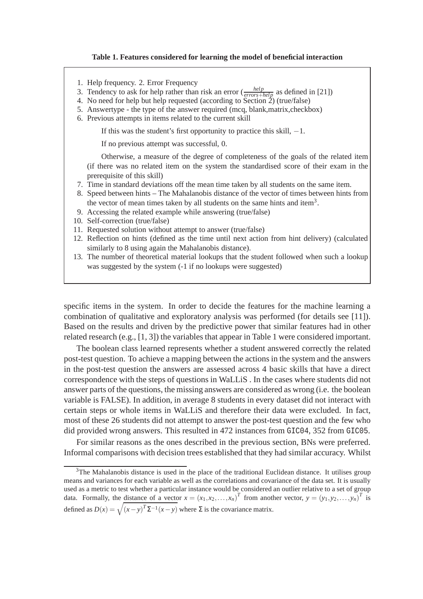#### **Table 1. Features considered for learning the model of beneficial interaction**

- 1. Help frequency. 2. Error Frequency
- 3. Tendency to ask for help rather than risk an error  $\left(\frac{help}{errors+help}\right)$  as defined in [21])
- 4. No need for help but help requested (according to Section 2) (true/false)
- 5. Answertype the type of the answer required (mcq, blank,matrix,checkbox)
- 6. Previous attempts in items related to the current skill

If this was the student's first opportunity to practice this skill,  $-1$ .

If no previous attempt was successful, 0.

Otherwise, a measure of the degree of completeness of the goals of the related item (if there was no related item on the system the standardised score of their exam in the prerequisite of this skill)

- 7. Time in standard deviations off the mean time taken by all students on the same item.
- 8. Speed between hints The Mahalanobis distance of the vector of times between hints from the vector of mean times taken by all students on the same hints and item<sup>3</sup>.
- 9. Accessing the related example while answering (true/false)
- 10. Self-correction (true/false)
- 11. Requested solution without attempt to answer (true/false)
- 12. Reflection on hints (defined as the time until next action from hint delivery) (calculated similarly to 8 using again the Mahalanobis distance).
- 13. The number of theoretical material lookups that the student followed when such a lookup was suggested by the system (-1 if no lookups were suggested)

specific items in the system. In order to decide the features for the machine learning a combination of qualitative and exploratory analysis was performed (for details see [11]). Based on the results and driven by the predictive power that similar features had in other related research (e.g., [1, 3]) the variables that appear in Table 1 were considered important.

The boolean class learned represents whether a student answered correctly the related post-test question. To achieve a mapping between the actions in the system and the answers in the post-test question the answers are assessed across 4 basic skills that have a direct correspondence with the steps of questions in WaLLiS . In the cases where students did not answer parts of the questions, the missing answers are considered as wrong (i.e. the boolean variable is FALSE). In addition, in average 8 students in every dataset did not interact with certain steps or whole items in WaLLiS and therefore their data were excluded. In fact, most of these 26 students did not attempt to answer the post-test question and the few who did provided wrong answers. This resulted in 472 instances from GIC04, 352 from GIC05.

For similar reasons as the ones described in the previous section, BNs were preferred. Informal comparisons with decision trees established that they had similar accuracy. Whilst

<sup>&</sup>lt;sup>3</sup>The Mahalanobis distance is used in the place of the traditional Euclidean distance. It utilises group means and variances for each variable as well as the correlations and covariance of the data set. It is usually used as a metric to test whether a particular instance would be considered an outlier relative to a set of group data. Formally, the distance of a vector  $x = (x_1, x_2,...,x_n)^T$  from another vector,  $y = (y_1, y_2,...,y_n)^T$  is defined as  $D(x) = \sqrt{(x-y)^T \Sigma^{-1} (x-y)}$  where  $\Sigma$  is the covariance matrix.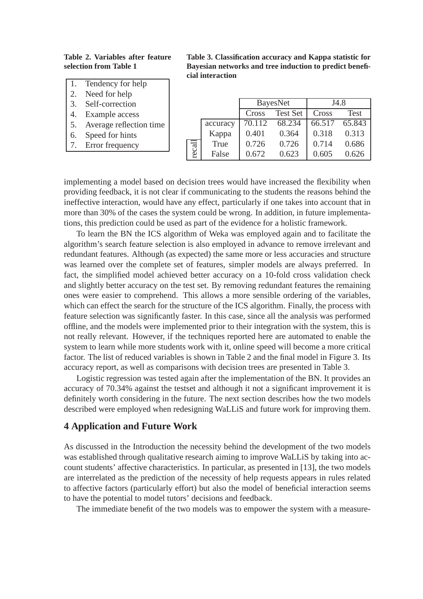**Table 2. Variables after feature selection from Table 1**

- 1. Tendency for help
- 2. Need for help
- 3. Self-correction
- 4. Example access
- 5. Average reflection time
- 6. Speed for hints
- 7. Error frequency

**Table 3. Classification accuracy and Kappa statistic for Bayesian networks and tree induction to predict beneficial interaction**

|        |          | <b>BayesNet</b> |                 | J4.8   |             |
|--------|----------|-----------------|-----------------|--------|-------------|
|        |          | Cross           | <b>Test Set</b> | Cross  | <b>Test</b> |
| recall | accuracy | 70.112          | 68.234          | 66.517 | 65.843      |
|        | Kappa    | 0.401           | 0.364           | 0.318  | 0.313       |
|        | True     | 0.726           | 0.726           | 0.714  | 0.686       |
|        | False    | 0.672           | 0.623           | 0.605  | 0.626       |

implementing a model based on decision trees would have increased the flexibility when providing feedback, it is not clear if communicating to the students the reasons behind the ineffective interaction, would have any effect, particularly if one takes into account that in more than 30% of the cases the system could be wrong. In addition, in future implementations, this prediction could be used as part of the evidence for a holistic framework.

To learn the BN the ICS algorithm of Weka was employed again and to facilitate the algorithm's search feature selection is also employed in advance to remove irrelevant and redundant features. Although (as expected) the same more or less accuracies and structure was learned over the complete set of features, simpler models are always preferred. In fact, the simplified model achieved better accuracy on a 10-fold cross validation check and slightly better accuracy on the test set. By removing redundant features the remaining ones were easier to comprehend. This allows a more sensible ordering of the variables, which can effect the search for the structure of the ICS algorithm. Finally, the process with feature selection was significantly faster. In this case, since all the analysis was performed offline, and the models were implemented prior to their integration with the system, this is not really relevant. However, if the techniques reported here are automated to enable the system to learn while more students work with it, online speed will become a more critical factor. The list of reduced variables is shown in Table 2 and the final model in Figure 3. Its accuracy report, as well as comparisons with decision trees are presented in Table 3.

Logistic regression was tested again after the implementation of the BN. It provides an accuracy of 70.34% against the testset and although it not a significant improvement it is definitely worth considering in the future. The next section describes how the two models described were employed when redesigning WaLLiS and future work for improving them.

#### **4 Application and Future Work**

As discussed in the Introduction the necessity behind the development of the two models was established through qualitative research aiming to improve WaLLiS by taking into account students' affective characteristics. In particular, as presented in [13], the two models are interrelated as the prediction of the necessity of help requests appears in rules related to affective factors (particularly effort) but also the model of beneficial interaction seems to have the potential to model tutors' decisions and feedback.

The immediate benefit of the two models was to empower the system with a measure-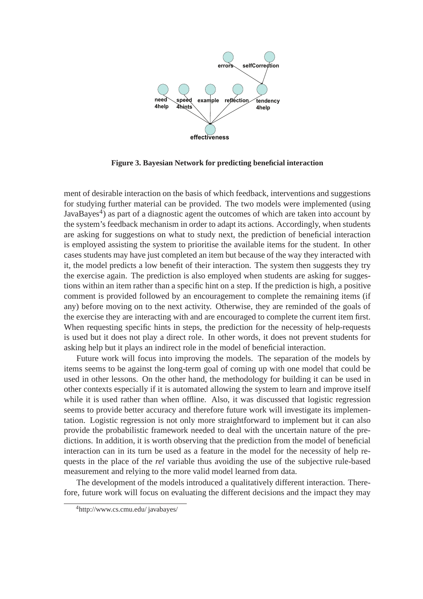

**Figure 3. Bayesian Network for predicting beneficial interaction**

ment of desirable interaction on the basis of which feedback, interventions and suggestions for studying further material can be provided. The two models were implemented (using JavaBayes<sup>4</sup>) as part of a diagnostic agent the outcomes of which are taken into account by the system's feedback mechanism in order to adapt its actions. Accordingly, when students are asking for suggestions on what to study next, the prediction of beneficial interaction is employed assisting the system to prioritise the available items for the student. In other cases students may have just completed an item but because of the way they interacted with it, the model predicts a low benefit of their interaction. The system then suggests they try the exercise again. The prediction is also employed when students are asking for suggestions within an item rather than a specific hint on a step. If the prediction is high, a positive comment is provided followed by an encouragement to complete the remaining items (if any) before moving on to the next activity. Otherwise, they are reminded of the goals of the exercise they are interacting with and are encouraged to complete the current item first. When requesting specific hints in steps, the prediction for the necessity of help-requests is used but it does not play a direct role. In other words, it does not prevent students for asking help but it plays an indirect role in the model of beneficial interaction.

Future work will focus into improving the models. The separation of the models by items seems to be against the long-term goal of coming up with one model that could be used in other lessons. On the other hand, the methodology for building it can be used in other contexts especially if it is automated allowing the system to learn and improve itself while it is used rather than when offline. Also, it was discussed that logistic regression seems to provide better accuracy and therefore future work will investigate its implementation. Logistic regression is not only more straightforward to implement but it can also provide the probabilistic framework needed to deal with the uncertain nature of the predictions. In addition, it is worth observing that the prediction from the model of beneficial interaction can in its turn be used as a feature in the model for the necessity of help requests in the place of the *rel* variable thus avoiding the use of the subjective rule-based measurement and relying to the more valid model learned from data.

The development of the models introduced a qualitatively different interaction. Therefore, future work will focus on evaluating the different decisions and the impact they may

<sup>4</sup>http://www.cs.cmu.edu/ javabayes/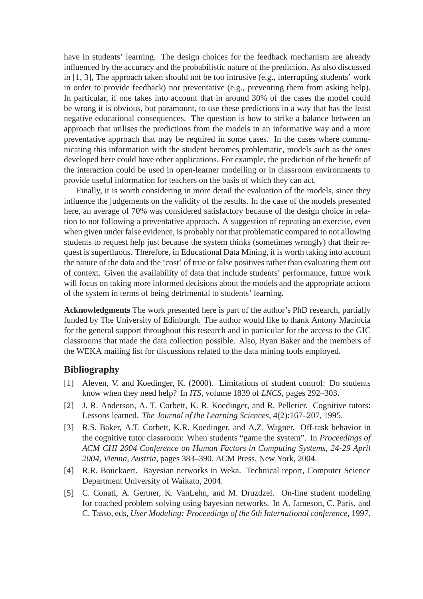have in students' learning. The design choices for the feedback mechanism are already influenced by the accuracy and the probabilistic nature of the prediction. As also discussed in [1, 3], The approach taken should not be too intrusive (e.g., interrupting students' work in order to provide feedback) nor preventative (e.g., preventing them from asking help). In particular, if one takes into account that in around 30% of the cases the model could be wrong it is obvious, but paramount, to use these predictions in a way that has the least negative educational consequences. The question is how to strike a balance between an approach that utilises the predictions from the models in an informative way and a more preventative approach that may be required in some cases. In the cases where communicating this information with the student becomes problematic, models such as the ones developed here could have other applications. For example, the prediction of the benefit of the interaction could be used in open-learner modelling or in classroom environments to provide useful information for teachers on the basis of which they can act.

Finally, it is worth considering in more detail the evaluation of the models, since they influence the judgements on the validity of the results. In the case of the models presented here, an average of 70% was considered satisfactory because of the design choice in relation to not following a preventative approach. A suggestion of repeating an exercise, even when given under false evidence, is probably not that problematic compared to not allowing students to request help just because the system thinks (sometimes wrongly) that their request is superfluous. Therefore, in Educational Data Mining, it is worth taking into account the nature of the data and the 'cost' of true or false positives rather than evaluating them out of context. Given the availability of data that include students' performance, future work will focus on taking more informed decisions about the models and the appropriate actions of the system in terms of being detrimental to students' learning.

**Acknowledgments** The work presented here is part of the author's PhD research, partially funded by The University of Edinburgh. The author would like to thank Antony Maciocia for the general support throughout this research and in particular for the access to the GIC classrooms that made the data collection possible. Also, Ryan Baker and the members of the WEKA mailing list for discussions related to the data mining tools employed.

## **Bibliography**

- [1] Aleven, V. and Koedinger, K. (2000). Limitations of student control: Do students know when they need help? In *ITS*, volume 1839 of *LNCS*, pages 292–303.
- [2] J. R. Anderson, A. T. Corbett, K. R. Koedinger, and R. Pelletier. Cognitive tutors: Lessons learned. *The Journal of the Learning Sciences*, 4(2):167–207, 1995.
- [3] R.S. Baker, A.T. Corbett, K.R. Koedinger, and A.Z. Wagner. Off-task behavior in the cognitive tutor classroom: When students "game the system". In *Proceedings of ACM CHI 2004 Conference on Human Factors in Computing Systems, 24-29 April 2004, Vienna, Austria*, pages 383–390. ACM Press, New York, 2004.
- [4] R.R. Bouckaert. Bayesian networks in Weka. Technical report, Computer Science Department University of Waikato, 2004.
- [5] C. Conati, A. Gertner, K. VanLehn, and M. Druzdzel. On-line student modeling for coached problem solving using bayesian networks. In A. Jameson, C. Paris, and C. Tasso, eds, *User Modeling: Proceedings of the 6th International conference*, 1997.